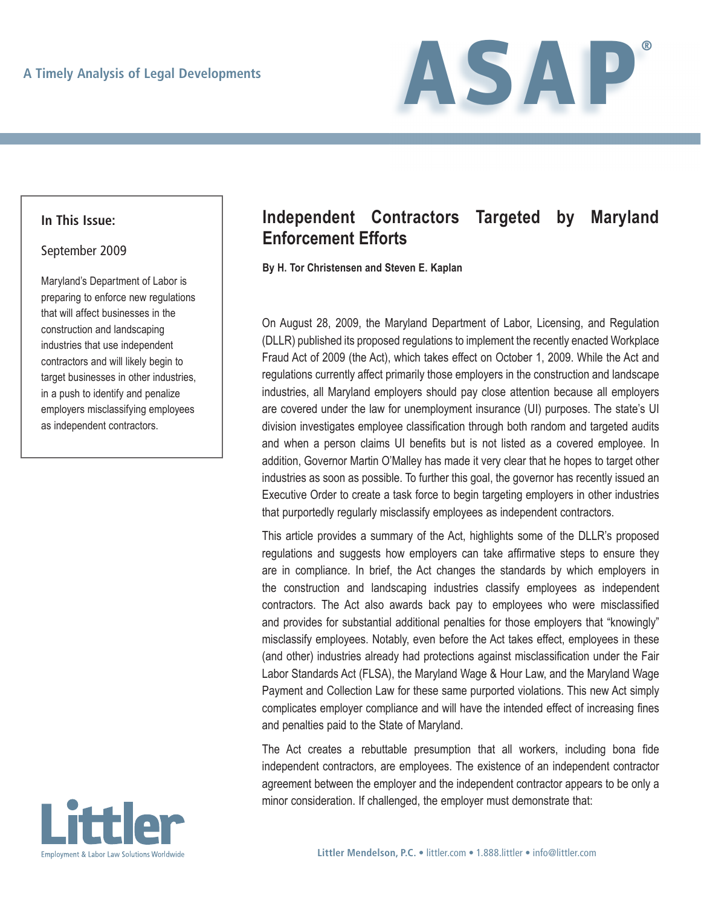

## **In This Issue:**

## September 2009

Maryland's Department of Labor is preparing to enforce new regulations that will affect businesses in the construction and landscaping industries that use independent contractors and will likely begin to target businesses in other industries, in a push to identify and penalize employers misclassifying employees as independent contractors.



## **Independent Contractors Targeted by Maryland Enforcement Efforts**

**By H. Tor Christensen and Steven E. Kaplan**

On August 28, 2009, the Maryland Department of Labor, Licensing, and Regulation (DLLR) published its proposed regulations to implement the recently enacted Workplace Fraud Act of 2009 (the Act), which takes effect on October 1, 2009. While the Act and regulations currently affect primarily those employers in the construction and landscape industries, all Maryland employers should pay close attention because all employers are covered under the law for unemployment insurance (UI) purposes. The state's UI division investigates employee classification through both random and targeted audits and when a person claims UI benefits but is not listed as a covered employee. In addition, Governor Martin O'Malley has made it very clear that he hopes to target other industries as soon as possible. To further this goal, the governor has recently issued an Executive Order to create a task force to begin targeting employers in other industries that purportedly regularly misclassify employees as independent contractors.

This article provides a summary of the Act, highlights some of the DLLR's proposed regulations and suggests how employers can take affirmative steps to ensure they are in compliance. In brief, the Act changes the standards by which employers in the construction and landscaping industries classify employees as independent contractors. The Act also awards back pay to employees who were misclassified and provides for substantial additional penalties for those employers that "knowingly" misclassify employees. Notably, even before the Act takes effect, employees in these (and other) industries already had protections against misclassification under the Fair Labor Standards Act (FLSA), the Maryland Wage & Hour Law, and the Maryland Wage Payment and Collection Law for these same purported violations. This new Act simply complicates employer compliance and will have the intended effect of increasing fines and penalties paid to the State of Maryland.

The Act creates a rebuttable presumption that all workers, including bona fide independent contractors, are employees. The existence of an independent contractor agreement between the employer and the independent contractor appears to be only a minor consideration. If challenged, the employer must demonstrate that: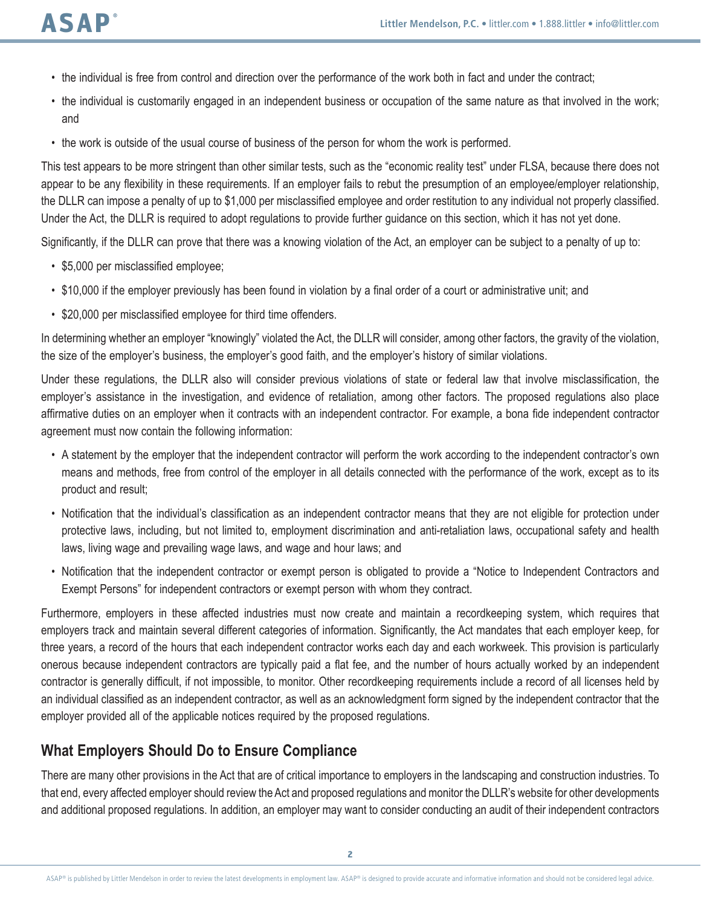- • the individual is free from control and direction over the performance of the work both in fact and under the contract;
- the individual is customarily engaged in an independent business or occupation of the same nature as that involved in the work; and
- the work is outside of the usual course of business of the person for whom the work is performed.

This test appears to be more stringent than other similar tests, such as the "economic reality test" under FLSA, because there does not appear to be any flexibility in these requirements. If an employer fails to rebut the presumption of an employee/employer relationship, the DLLR can impose a penalty of up to \$1,000 per misclassified employee and order restitution to any individual not properly classified. Under the Act, the DLLR is required to adopt regulations to provide further guidance on this section, which it has not yet done.

Significantly, if the DLLR can prove that there was a knowing violation of the Act, an employer can be subject to a penalty of up to:

- \$5,000 per misclassified employee;
- • \$10,000 if the employer previously has been found in violation by a final order of a court or administrative unit; and
- \$20,000 per misclassified employee for third time offenders.

In determining whether an employer "knowingly" violated the Act, the DLLR will consider, among other factors, the gravity of the violation, the size of the employer's business, the employer's good faith, and the employer's history of similar violations.

Under these regulations, the DLLR also will consider previous violations of state or federal law that involve misclassification, the employer's assistance in the investigation, and evidence of retaliation, among other factors. The proposed regulations also place affirmative duties on an employer when it contracts with an independent contractor. For example, a bona fide independent contractor agreement must now contain the following information:

- • A statement by the employer that the independent contractor will perform the work according to the independent contractor's own means and methods, free from control of the employer in all details connected with the performance of the work, except as to its product and result;
- • Notification that the individual's classification as an independent contractor means that they are not eligible for protection under protective laws, including, but not limited to, employment discrimination and anti-retaliation laws, occupational safety and health laws, living wage and prevailing wage laws, and wage and hour laws; and
- • Notification that the independent contractor or exempt person is obligated to provide a "Notice to Independent Contractors and Exempt Persons" for independent contractors or exempt person with whom they contract.

Furthermore, employers in these affected industries must now create and maintain a recordkeeping system, which requires that employers track and maintain several different categories of information. Significantly, the Act mandates that each employer keep, for three years, a record of the hours that each independent contractor works each day and each workweek. This provision is particularly onerous because independent contractors are typically paid a flat fee, and the number of hours actually worked by an independent contractor is generally difficult, if not impossible, to monitor. Other recordkeeping requirements include a record of all licenses held by an individual classified as an independent contractor, as well as an acknowledgment form signed by the independent contractor that the employer provided all of the applicable notices required by the proposed regulations.

## **What Employers Should Do to Ensure Compliance**

There are many other provisions in the Act that are of critical importance to employers in the landscaping and construction industries. To that end, every affected employer should review the Act and proposed regulations and monitor the DLLR's website for other developments and additional proposed regulations. In addition, an employer may want to consider conducting an audit of their independent contractors